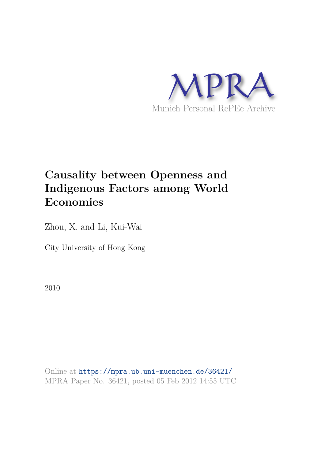

# **Causality between Openness and Indigenous Factors among World Economies**

Zhou, X. and Li, Kui-Wai

City University of Hong Kong

2010

Online at https://mpra.ub.uni-muenchen.de/36421/ MPRA Paper No. 36421, posted 05 Feb 2012 14:55 UTC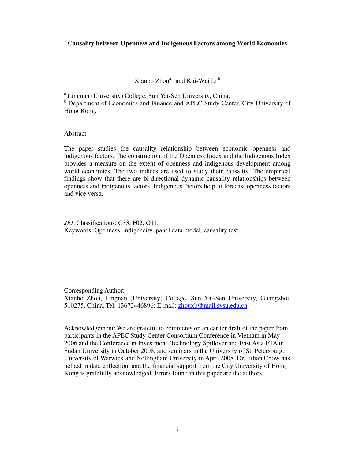## **Causality between Openness and Indigenous Factors among World Economies**

Xianbo Zhou<sup>a</sup> and Kui-Wai Li<sup>b</sup>

<sup>a</sup> Lingnan (University) College, Sun Yat-Sen University, China.

<sup>b</sup> Department of Economics and Finance and APEC Study Center, City University of Hong Kong.

Abstract

The paper studies the causality relationship between economic openness and indigenous factors. The construction of the Openness Index and the Indigenous Index provides a measure on the extent of openness and indigenous development among world economies. The two indices are used to study their causality. The empirical findings show that there are bi-directional dynamic causality relationships between openness and indigenous factors. Indigenous factors help to forecast openness factors and vice versa.

*JEL* Classifications: C33, F02, O11.

Keywords: Openness, indigeneity, panel data model, causality test.

 $\overline{\phantom{a}}$ 

Acknowledgement: We are grateful to comments on an earlier draft of the paper from participants in the APEC Study Center Consortium Conference in Vietnam in May 2006 and the Conference in Investment, Technology Spillover and East Asia FTA in Fudan University in October 2008, and seminars in the University of St. Petersburg, University of Warwick and Nottingham University in April 2008. Dr. Julian Chow has helped in data collection, and the financial support from the City University of Hong Kong is gratefully acknowledged. Errors found in this paper are the authors.

Corresponding Author:

Xianbo Zhou, Lingnan (University) College, Sun Yat-Sen University, Guangzhou 510275, China. Tel: 13672446896; E-mail: zhouxb@mail.sysu.edu.cn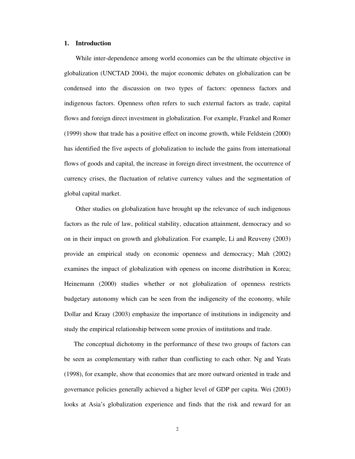#### **1. Introduction**

 While inter-dependence among world economies can be the ultimate objective in globalization (UNCTAD 2004), the major economic debates on globalization can be condensed into the discussion on two types of factors: openness factors and indigenous factors. Openness often refers to such external factors as trade, capital flows and foreign direct investment in globalization. For example, Frankel and Romer (1999) show that trade has a positive effect on income growth, while Feldstein (2000) has identified the five aspects of globalization to include the gains from international flows of goods and capital, the increase in foreign direct investment, the occurrence of currency crises, the fluctuation of relative currency values and the segmentation of global capital market.

 Other studies on globalization have brought up the relevance of such indigenous factors as the rule of law, political stability, education attainment, democracy and so on in their impact on growth and globalization. For example, Li and Reuveny (2003) provide an empirical study on economic openness and democracy; Mah (2002) examines the impact of globalization with openess on income distribution in Korea; Heinemann (2000) studies whether or not globalization of openness restricts budgetary autonomy which can be seen from the indigeneity of the economy, while Dollar and Kraay (2003) emphasize the importance of institutions in indigeneity and study the empirical relationship between some proxies of institutions and trade.

The conceptual dichotomy in the performance of these two groups of factors can be seen as complementary with rather than conflicting to each other. Ng and Yeats (1998), for example, show that economies that are more outward oriented in trade and governance policies generally achieved a higher level of GDP per capita. Wei (2003) looks at Asia's globalization experience and finds that the risk and reward for an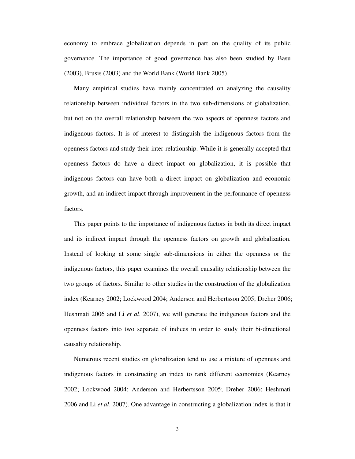economy to embrace globalization depends in part on the quality of its public governance. The importance of good governance has also been studied by Basu (2003), Brusis (2003) and the World Bank (World Bank 2005).

Many empirical studies have mainly concentrated on analyzing the causality relationship between individual factors in the two sub-dimensions of globalization, but not on the overall relationship between the two aspects of openness factors and indigenous factors. It is of interest to distinguish the indigenous factors from the openness factors and study their inter-relationship. While it is generally accepted that openness factors do have a direct impact on globalization, it is possible that indigenous factors can have both a direct impact on globalization and economic growth, and an indirect impact through improvement in the performance of openness factors.

This paper points to the importance of indigenous factors in both its direct impact and its indirect impact through the openness factors on growth and globalization. Instead of looking at some single sub-dimensions in either the openness or the indigenous factors, this paper examines the overall causality relationship between the two groups of factors. Similar to other studies in the construction of the globalization index (Kearney 2002; Lockwood 2004; Anderson and Herbertsson 2005; Dreher 2006; Heshmati 2006 and Li *et al*. 2007), we will generate the indigenous factors and the openness factors into two separate of indices in order to study their bi-directional causality relationship.

Numerous recent studies on globalization tend to use a mixture of openness and indigenous factors in constructing an index to rank different economies (Kearney 2002; Lockwood 2004; Anderson and Herbertsson 2005; Dreher 2006; Heshmati 2006 and Li *et al*. 2007). One advantage in constructing a globalization index is that it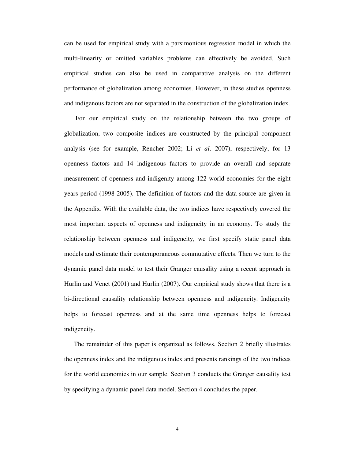can be used for empirical study with a parsimonious regression model in which the multi-linearity or omitted variables problems can effectively be avoided. Such empirical studies can also be used in comparative analysis on the different performance of globalization among economies. However, in these studies openness and indigenous factors are not separated in the construction of the globalization index.

 For our empirical study on the relationship between the two groups of globalization, two composite indices are constructed by the principal component analysis (see for example, Rencher 2002; Li *et al*. 2007), respectively, for 13 openness factors and 14 indigenous factors to provide an overall and separate measurement of openness and indigenity among 122 world economies for the eight years period (1998-2005). The definition of factors and the data source are given in the Appendix. With the available data, the two indices have respectively covered the most important aspects of openness and indigeneity in an economy. To study the relationship between openness and indigeneity, we first specify static panel data models and estimate their contemporaneous commutative effects. Then we turn to the dynamic panel data model to test their Granger causality using a recent approach in Hurlin and Venet (2001) and Hurlin (2007). Our empirical study shows that there is a bi-directional causality relationship between openness and indigeneity. Indigeneity helps to forecast openness and at the same time openness helps to forecast indigeneity.

The remainder of this paper is organized as follows. Section 2 briefly illustrates the openness index and the indigenous index and presents rankings of the two indices for the world economies in our sample. Section 3 conducts the Granger causality test by specifying a dynamic panel data model. Section 4 concludes the paper.

4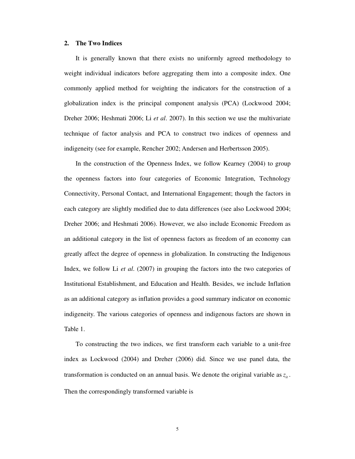#### **2. The Two Indices**

It is generally known that there exists no uniformly agreed methodology to weight individual indicators before aggregating them into a composite index. One commonly applied method for weighting the indicators for the construction of a globalization index is the principal component analysis (PCA) (Lockwood 2004; Dreher 2006; Heshmati 2006; Li *et al*. 2007). In this section we use the multivariate technique of factor analysis and PCA to construct two indices of openness and indigeneity (see for example, Rencher 2002; Andersen and Herbertsson 2005).

In the construction of the Openness Index, we follow Kearney (2004) to group the openness factors into four categories of Economic Integration, Technology Connectivity, Personal Contact, and International Engagement; though the factors in each category are slightly modified due to data differences (see also Lockwood 2004; Dreher 2006; and Heshmati 2006). However, we also include Economic Freedom as an additional category in the list of openness factors as freedom of an economy can greatly affect the degree of openness in globalization. In constructing the Indigenous Index, we follow Li *et al*. (2007) in grouping the factors into the two categories of Institutional Establishment, and Education and Health. Besides, we include Inflation as an additional category as inflation provides a good summary indicator on economic indigeneity. The various categories of openness and indigenous factors are shown in Table 1.

To constructing the two indices, we first transform each variable to a unit-free index as Lockwood (2004) and Dreher (2006) did. Since we use panel data, the transformation is conducted on an annual basis. We denote the original variable as  $z_i$ . Then the correspondingly transformed variable is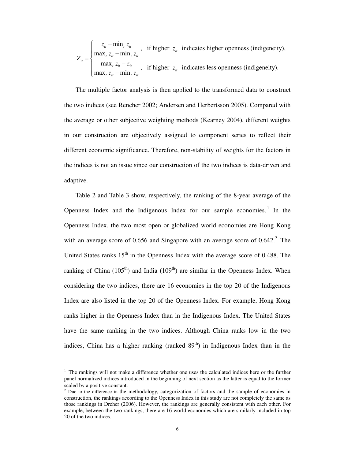$\frac{\min_t z_{it}}{\cdot}$ , if higher  $z_{it}$  indicates higher openness (indigeneity),  $\max_{t} z_{it} - \min$  $\frac{\max_{i} z_{ii} - z_{ii}}{\cdot}$ , if higher  $z_{ii}$  indicates less openness (indigeneity).  $\max_{t} z_{it} - \min$  $\frac{u}{u}$   $\frac{\text{min}_{t} z_{it}}{\text{min}_{t} z_{it}}$ , if higher  $z_{it}$  $t \sim_{it} t \min_t \mathcal{L}_{it}$ *it*  $\frac{t^{2}i t^{2}}{i t^{2}}$ , if higher  $z_{it}$  $t \sim_{it} t \min_t \mathcal{L}_{it}$  $z_{it}$  -  $\min_{t} z_{it}$ , if higher z  $z_{it}$  – min<sub>t</sub> z *Z*  $\frac{z_{it} - z_{it}}{i}$ , if higher z  $z_{it}$  – min<sub>t</sub> z  $\int z_{it}$  $\sqrt{\frac{m}{\max_t z_{it}} =\{$  $\frac{max_t z_{it} \left(\max_{t} z_{it} - \right)$ 

The multiple factor analysis is then applied to the transformed data to construct the two indices (see Rencher 2002; Andersen and Herbertsson 2005). Compared with the average or other subjective weighting methods (Kearney 2004), different weights in our construction are objectively assigned to component series to reflect their different economic significance. Therefore, non-stability of weights for the factors in the indices is not an issue since our construction of the two indices is data-driven and adaptive.

Table 2 and Table 3 show, respectively, the ranking of the 8-year average of the Openness Index and the Indigenous Index for our sample economies.<sup>1</sup> In the Openness Index, the two most open or globalized world economies are Hong Kong with an average score of 0.656 and Singapore with an average score of  $0.642$ .<sup>2</sup> The United States ranks  $15<sup>th</sup>$  in the Openness Index with the average score of 0.488. The ranking of China (105<sup>th</sup>) and India (109<sup>th</sup>) are similar in the Openness Index. When considering the two indices, there are 16 economies in the top 20 of the Indigenous Index are also listed in the top 20 of the Openness Index. For example, Hong Kong ranks higher in the Openness Index than in the Indigenous Index. The United States have the same ranking in the two indices. Although China ranks low in the two indices, China has a higher ranking (ranked  $89<sup>th</sup>$ ) in Indigenous Index than in the

 $\overline{a}$ 

<sup>1</sup> The rankings will not make a difference whether one uses the calculated indices here or the further panel normalized indices introduced in the beginning of next section as the latter is equal to the former scaled by a positive constant.

<sup>&</sup>lt;sup>2</sup> Due to the difference in the methodology, categorization of factors and the sample of economies in construction, the rankings according to the Openness Index in this study are not completely the same as those rankings in Dreher (2006). However, the rankings are generally consistent with each other. For example, between the two rankings, there are 16 world economies which are similarly included in top 20 of the two indices.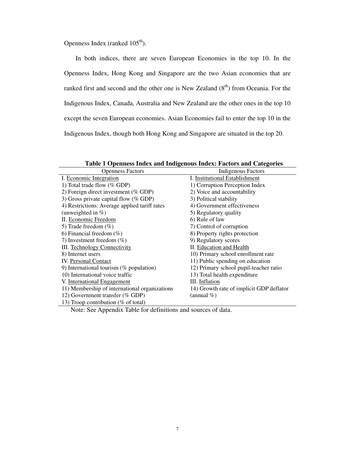Openness Index (ranked  $105<sup>th</sup>$ ).

In both indices, there are seven European Economies in the top 10. In the Openness Index, Hong Kong and Singapore are the two Asian economies that are ranked first and second and the other one is New Zealand  $(8<sup>th</sup>)$  from Oceania. For the Indigenous Index, Canada, Australia and New Zealand are the other ones in the top 10 except the seven European economies. Asian Economies fail to enter the top 10 in the Indigenous Index, though both Hong Kong and Singapore are situated in the top 20.

| <b>Openness Factors</b>                       | Indigenous Factors                       |
|-----------------------------------------------|------------------------------------------|
| I. Economic Integration                       | I. Institutional Establishment           |
| 1) Total trade flow (% GDP)                   | 1) Corruption Perception Index           |
| 2) Foreign direct investment ( $%$ GDP)       | 2) Voice and accountability              |
| 3) Gross private capital flow (% GDP)         | 3) Political stability                   |
| 4) Restrictions: Average applied tariff rates | 4) Government effectiveness              |
| (unweighted in $%$ )                          | 5) Regulatory quality                    |
| II. Economic Freedom                          | 6) Rule of law                           |
| 5) Trade freedom $(\%)$                       | 7) Control of corruption                 |
| 6) Financial freedom $(\%)$                   | 8) Property rights protection            |
| 7) Investment freedom $(\% )$                 | 9) Regulatory scores                     |
| <b>III.</b> Technology Connectivity           | II. Education and Health                 |
| 8) Internet users                             | 10) Primary school enrollment rate       |
| <b>IV.</b> Personal Contact                   | 11) Public spending on education         |
| 9) International tourism ( $%$ population)    | 12) Primary school pupil-teacher ratio   |
| 10) International voice traffic               | 13) Total health expenditure             |
| V. International Engagement                   | III. Inflation                           |
| 11) Membership of international organizations | 14) Growth rate of implicit GDP deflator |
| 12) Government transfer (% GDP)               | (annual $\%$ )                           |
| 13) Troop contribution (% of total)           |                                          |

**Table 1 Openness Index and Indigenous Index: Factors and Categories** 

Note: See Appendix Table for definitions and sources of data.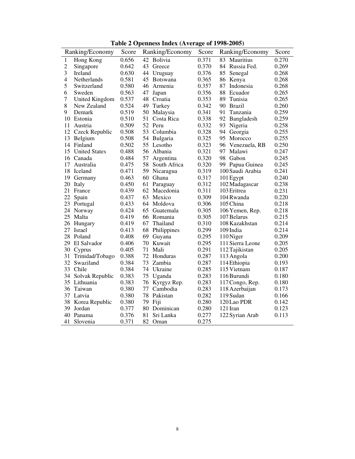| Table 2 Openness Index (Average of 1998-2005) |                       |       |     |                 |       |                     |       |
|-----------------------------------------------|-----------------------|-------|-----|-----------------|-------|---------------------|-------|
|                                               | Ranking/Economy       | Score |     | Ranking/Economy | Score | Ranking/Economy     | Score |
| $\mathbf{1}$                                  | Hong Kong             | 0.656 | 42  | Bolivia         | 0.371 | 83<br>Mauritius     | 0.270 |
| $\overline{c}$                                | Singapore             | 0.642 | 43  | Greece          | 0.370 | 84<br>Russia Fed.   | 0.269 |
| 3                                             | Ireland               | 0.630 | 44  | Uruguay         | 0.376 | 85<br>Senegal       | 0.268 |
| $\overline{4}$                                | Netherlands           | 0.581 | 45  | Botswana        | 0.365 | 86<br>Kenya         | 0.268 |
| 5                                             | Switzerland           | 0.580 | 46  | Armenia         | 0.357 | 87<br>Indonesia     | 0.268 |
| 6                                             | Sweden                | 0.563 | 47  | Japan           | 0.356 | 88<br>Ecuador       | 0.265 |
| $\overline{7}$                                | <b>United Kingdom</b> | 0.537 | 48  | Croatia         | 0.353 | 89<br>Tunisia       | 0.265 |
| 8                                             | New Zealand           | 0.524 | 49  | Turkey          | 0.342 | 90 Brazil           | 0.260 |
| 9                                             | Demark                | 0.519 | 50  | Malaysia        | 0.341 | 91<br>Tanzania      | 0.259 |
|                                               | 10 Estonia            | 0.510 | 51  | Costa Rica      | 0.338 | 92<br>Bangladesh    | 0.259 |
| 11                                            | Austria               | 0.509 | 52  | Peru            | 0.332 | Nigeria<br>93       | 0.258 |
|                                               | 12 Czeck Republic     | 0.508 | 53  | Columbia        | 0.328 | 94<br>Georgia       | 0.255 |
| 13                                            | Belgium               | 0.508 | 54  | Bulgaria        | 0.325 | Morocco<br>95       | 0.255 |
| 14                                            | Finland               | 0.502 | 55  | Lesotho         | 0.323 | 96<br>Venezuela, RB | 0.250 |
| 15                                            | <b>United States</b>  | 0.488 | 56  | Albania         | 0.321 | 97<br>Malawi        | 0.247 |
|                                               | 16 Canada             | 0.484 | 57  | Argentina       | 0.320 | 98<br>Gabon         | 0.245 |
| 17                                            | Australia             | 0.475 | 58  | South Africa    | 0.320 | Papua Guinea<br>99- | 0.245 |
| 18                                            | Iceland               | 0.471 | 59. | Nicaragua       | 0.319 | 100 Saudi Arabia    | 0.241 |
| 19                                            | Germany               | 0.463 | 60  | Ghana           | 0.317 | 101 Egypt           | 0.240 |
| 20                                            | Italy                 | 0.450 | 61  | Paraguay        | 0.312 | 102 Madagascar      | 0.238 |
| 21                                            | France                | 0.439 | 62  | Macedonia       | 0.311 | 103 Eritrea         | 0.231 |
| 22                                            | Spain                 | 0.437 | 63  | Mexico          | 0.309 | 104 Rwanda          | 0.220 |
|                                               | 23 Portugal           | 0.433 | 64  | Moldova         | 0.306 | 105 China           | 0.218 |
| 24                                            | Norway                | 0.424 | 65  | Guatemala       | 0.305 | 106 Yemen, Rep.     | 0.218 |
| 25                                            | Malta                 | 0.419 | 66  | Romania         | 0.305 | 107 Belarus         | 0.215 |
| 26                                            | Hungary               | 0.419 | 67  | Thailand        | 0.310 | 108 Kazakhstan      | 0.214 |
|                                               | 27 Israel             | 0.413 | 68  | Philippines     | 0.299 | 109 India           | 0.214 |
|                                               | 28 Poland             | 0.408 | 69  | Guyana          | 0.295 | 110 Niger           | 0.209 |
|                                               | 29 El Salvador        | 0.406 | 70  | Kuwait          | 0.295 | 111 Sierra Leone    | 0.205 |
|                                               | 30 Cyprus             | 0.405 | 71  | Mali            | 0.291 | 112 Tajikistan      | 0.205 |
| 31                                            | Trinidad/Tobago       | 0.388 | 72  | Honduras        | 0.287 | 113 Angola          | 0.200 |
| 32                                            | Swaziland             | 0.384 | 73  | Zambia          | 0.287 | 114 Ethiopia        | 0.193 |
| 33                                            | Chile                 | 0.384 | 74  | Ukraine         | 0.285 | 115 Vietnam         | 0.187 |
| 34                                            | Solvak Republic       | 0.383 | 75  | Uganda          | 0.283 | 116 Burundi         | 0.180 |
|                                               | 35 Lithuania          | 0.383 | 76  | Kyrgyz Rep.     | 0.283 | 117 Congo, Rep.     | 0.180 |
| 36                                            | Taiwan                | 0.380 | 77  | Cambodia        | 0.283 | 118 Azerbaijan      | 0.173 |
|                                               | 37 Latvia             | 0.380 | 78  | Pakistan        | 0.282 | 119 Sudan           | 0.166 |
|                                               | 38 Korea Republic     | 0.380 | 79  | Fiji            | 0.280 | 120 Lao PDR         | 0.142 |
| 39                                            | Jordan                | 0.377 | 80  | Dominican       | 0.280 | 121 Iran            | 0.123 |
| 40                                            | Panama                | 0.376 | 81  | Sri Lanka       | 0.277 | 122 Syrian Arab     | 0.113 |
| 41                                            | Slovenia              | 0.371 | 82  | Oman            | 0.275 |                     |       |

**Table 2 Openness Index (Average of 1998-2005)**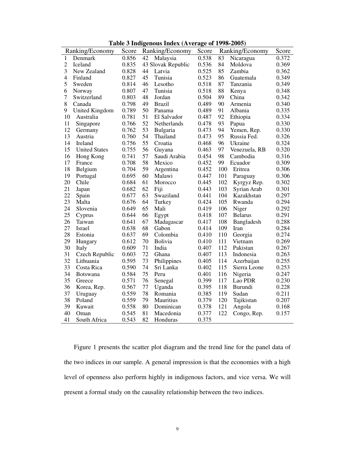|  |  |  |  | Table 3 Indigenous Index (Average of 1998-2005) |
|--|--|--|--|-------------------------------------------------|
|--|--|--|--|-------------------------------------------------|

|                | Ranking/Economy      | Score |    | Twore $\sigma$ margements matrix (Trentage of 1220 2006)<br>Ranking/Economy | Score |     | Ranking/Economy | Score |
|----------------|----------------------|-------|----|-----------------------------------------------------------------------------|-------|-----|-----------------|-------|
| 1              | Denmark              | 0.856 | 42 | Malaysia                                                                    | 0.538 | 83  | Nicaragua       | 0.372 |
| $\overline{c}$ | Iceland              | 0.835 |    | 43 Slovak Republic                                                          | 0.536 | 84  | Moldova         | 0.369 |
| 3              | New Zealand          | 0.828 | 44 | Latvia                                                                      | 0.525 | 85  | Zambia          | 0.362 |
| $\overline{4}$ | Finland              | 0.827 | 45 | Tunisia                                                                     | 0.523 | 86  | Guatemala       | 0.349 |
| 5              | Sweden               | 0.814 | 46 | Lesotho                                                                     | 0.518 | 87  | Tanzania        | 0.349 |
| 6              | Norway               | 0.807 | 47 | Tunisia                                                                     | 0.518 | 88  | Kenya           | 0.348 |
| 7              | Switzerland          | 0.803 | 48 | Jordan                                                                      | 0.504 | 89  | China           | 0.342 |
| 8              | Canada               | 0.798 | 49 | <b>Brazil</b>                                                               | 0.489 | 90  | Armenia         | 0.340 |
| 9              | United Kingdom       | 0.789 | 50 | Panama                                                                      | 0.489 | 91  | Albania         | 0.335 |
| 10             | Australia            | 0.781 | 51 | El Salvador                                                                 | 0.487 | 92  | Ethiopia        | 0.334 |
| 11             | Singapore            | 0.766 | 52 | Netherlands                                                                 | 0.478 | 93  | Papua           | 0.330 |
| 12             | Germany              | 0.762 | 53 | Bulgaria                                                                    | 0.473 | 94  | Yemen, Rep.     | 0.330 |
| 13             | Austria              | 0.760 | 54 | Thailand                                                                    | 0.473 | 95  | Russia Fed.     | 0.326 |
| 14             | Ireland              | 0.756 | 55 | Croatia                                                                     | 0.468 | 96  | Ukraine         | 0.324 |
| 15             | <b>United States</b> | 0.755 | 56 | Guyana                                                                      | 0.463 | 97  | Venezuela, RB   | 0.320 |
| 16             | Hong Kong            | 0.741 | 57 | Saudi Arabia                                                                | 0.454 | 98  | Cambodia        | 0.316 |
| 17             | France               | 0.708 | 58 | Mexico                                                                      | 0.452 | 99  | Ecuador         | 0.309 |
| 18             | Belgium              | 0.704 | 59 | Argentina                                                                   | 0.452 | 100 | Eritrea         | 0.306 |
| 19             | Portugal             | 0.695 | 60 | Malawi                                                                      | 0.447 | 101 | Paraguay        | 0.306 |
| 20             | Chile                | 0.684 | 61 | Morocco                                                                     | 0.445 | 102 | Kyrgyz Rep.     | 0.302 |
| 21             | Japan                | 0.682 | 62 | Fiji                                                                        | 0.443 | 103 | Syrian Arab     | 0.301 |
| 22             | Spain                | 0.677 | 63 | Swaziland                                                                   | 0.441 | 104 | Kazakhstan      | 0.297 |
| 23             | Malta                | 0.676 | 64 | Turkey                                                                      | 0.424 | 105 | Rwanda          | 0.294 |
| 24             | Slovenia             | 0.649 | 65 | Mali                                                                        | 0.419 | 106 | Niger           | 0.292 |
| 25             | Cyprus               | 0.644 | 66 | Egypt                                                                       | 0.418 | 107 | <b>Belarus</b>  | 0.291 |
| 26             | Taiwan               | 0.641 | 67 | Madagascar                                                                  | 0.417 | 108 | Bangladesh      | 0.288 |
| 27             | Israel               | 0.638 | 68 | Gabon                                                                       | 0.414 | 109 | Iran            | 0.284 |
| 28             | Estonia              | 0.637 | 69 | Colombia                                                                    | 0.410 | 110 | Georgia         | 0.274 |
| 29             | Hungary              | 0.612 | 70 | <b>Bolivia</b>                                                              | 0.410 | 111 | Vietnam         | 0.269 |
| 30             | Italy                | 0.609 | 71 | India                                                                       | 0.407 | 112 | Pakistan        | 0.267 |
| 31             | Czech Republic       | 0.603 | 72 | Ghana                                                                       | 0.407 | 113 | Indonesia       | 0.263 |
| 32             | Lithuania            | 0.595 | 73 | Philippines                                                                 | 0.405 | 114 | Azerbaijan      | 0.255 |
| 33             | Costa Rica           | 0.590 | 74 | Sri Lanka                                                                   | 0.402 | 115 | Sierra Leone    | 0.253 |
| 34             | <b>Botswana</b>      | 0.584 | 75 | Peru                                                                        | 0.401 | 116 | Nigeria         | 0.247 |
| 35             | Greece               | 0.571 | 76 | Senegal                                                                     | 0.399 | 117 | Lao PDR         | 0.230 |
| 36             | Korea, Rep.          | 0.567 | 77 | Uganda                                                                      | 0.395 | 118 | Burundi         | 0.228 |
| 37             | Uruguay              | 0.559 | 78 | Romania                                                                     | 0.385 | 119 | Sudan           | 0.211 |
| 38             | Poland               | 0.559 | 79 | Mauritius                                                                   | 0.379 | 120 | Tajikistan      | 0.207 |
| 39             | Kuwait               | 0.558 | 80 | Dominican                                                                   | 0.378 | 121 | Angola          | 0.168 |
| 40             | Oman                 | 0.545 | 81 | Macedonia                                                                   | 0.377 | 122 | Congo, Rep.     | 0.157 |
| 41             | South Africa         | 0.543 | 82 | Honduras                                                                    | 0.375 |     |                 |       |

Figure 1 presents the scatter plot diagram and the trend line for the panel data of the two indices in our sample. A general impression is that the economies with a high level of openness also perform highly in indigenous factors, and vice versa. We will present a formal study on the causality relationship between the two indices.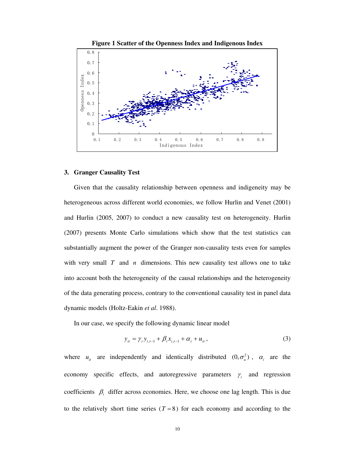

**Figure 1 Scatter of the Openness Index and Indigenous Index** 

#### **3. Granger Causality Test**

Given that the causality relationship between openness and indigeneity may be heterogeneous across different world economies, we follow Hurlin and Venet (2001) and Hurlin (2005, 2007) to conduct a new causality test on heterogeneity. Hurlin (2007) presents Monte Carlo simulations which show that the test statistics can substantially augment the power of the Granger non-causality tests even for samples with very small *T* and *n* dimensions. This new causality test allows one to take into account both the heterogeneity of the causal relationships and the heterogeneity of the data generating process, contrary to the conventional causality test in panel data dynamic models (Holtz-Eakin *et al*. 1988).

In our case, we specify the following dynamic linear model

$$
y_{it} = \gamma_i y_{i,t-1} + \beta_i x_{i,t-1} + \alpha_i + u_{it},
$$
\n(3)

where  $u_{ii}$  are independently and identically distributed  $(0, \sigma_u^2)$ ,  $\alpha_i$  are the economy specific effects, and autoregressive parameters  $\gamma_i$  and regression coefficients  $\beta_i$  differ across economies. Here, we choose one lag length. This is due to the relatively short time series  $(T = 8)$  for each economy and according to the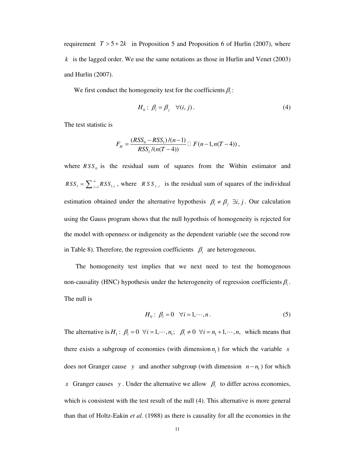requirement  $T > 5 + 2k$  in Proposition 5 and Proposition 6 of Hurlin (2007), where  $k$  is the lagged order. We use the same notations as those in Hurlin and Venet (2003) and Hurlin (2007).

We first conduct the homogeneity test for the coefficients  $\beta_i$ :

$$
H_0: \beta_i = \beta_j \quad \forall (i, j).
$$
 (4)

The test statistic is

$$
F_H = \frac{(RSS_0 - RSS_1)/(n-1)}{RSS_1/(n(T-4))} \square F(n-1, n(T-4)),
$$

where  $RSS_0$  is the residual sum of squares from the Within estimator and  $1 - \sum_{i=1}^n \mathbf{1} \mathbf{1} \mathbf{1} \mathbf{1}$ *n*  $RSS_1 = \sum_{i=1}^{n} RSS_{1,i}$ , where *RSS*<sub>1,*i*</sub> is the residual sum of squares of the individual estimation obtained under the alternative hypothesis  $\beta_i \neq \beta_j$   $\exists i, j$ . Our calculation using the Gauss program shows that the null hypothsis of homogeneity is rejected for the model with openness or indigeneity as the dependent variable (see the second row in Table 8). Therefore, the regression coefficients  $\beta_i$  are heterogeneous.

 The homogeneity test implies that we next need to test the homogenous non-causality (HNC) hypothesis under the heterogeneity of regression coefficients  $\beta_i$ . The null is

$$
H_0: \beta_i = 0 \quad \forall i = 1, \cdots, n. \tag{5}
$$

The alternative is  $H_1: \beta_i = 0 \ \forall i = 1, \dots, n_i; \ \beta_i \neq 0 \ \forall i = n_1 + 1, \dots, n$ , which means that there exists a subgroup of economies (with dimension  $n_1$ ) for which the variable *x* does not Granger cause *y* and another subgroup (with dimension  $n - n_1$ ) for which *x* Granger causes *y*. Under the alternative we allow  $\beta_i$  to differ across economies, which is consistent with the test result of the null (4). This alternative is more general than that of Holtz-Eakin *et al*. (1988) as there is causality for all the economies in the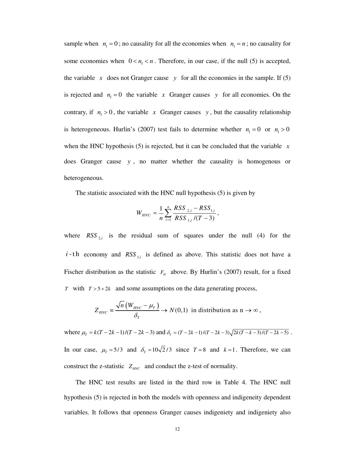sample when  $n_1 = 0$ ; no causality for all the economies when  $n_1 = n$ ; no causality for some economies when  $0 < n_1 < n$ . Therefore, in our case, if the null (5) is accepted, the variable  $x$  does not Granger cause  $y$  for all the economies in the sample. If (5) is rejected and  $n_1 = 0$  the variable *x* Granger causes *y* for all economies. On the contrary, if  $n_1 > 0$ , the variable *x* Granger causes *y*, but the causality relationship is heterogeneous. Hurlin's (2007) test fails to determine whether  $n_1 = 0$  or  $n_1 > 0$ when the HNC hypothesis (5) is rejected, but it can be concluded that the variable  $\bar{x}$ does Granger cause *y* , no matter whether the causality is homogenous or heterogeneous.

The statistic associated with the HNC null hypothesis (5) is given by

$$
W_{HNC} = \frac{1}{n} \sum_{i=1}^{n} \frac{RSS_{2,i} - RSS_{1,i}}{RSS_{1,i}/(T-3)},
$$

where  $RSS_{2,i}$  is the residual sum of squares under the null (4) for the  $i$ -th economy and  $RSS_{i,i}$  is defined as above. This statistic does not have a Fischer distribution as the statistic  $F<sub>H</sub>$  above. By Hurlin's (2007) result, for a fixed *T* with  $T > 5 + 2k$  and some assumptions on the data generating process,

$$
Z_{HNC} \equiv \frac{\sqrt{n} \left( W_{HNC} - \mu_T \right)}{\delta_T} \to N(0,1) \text{ in distribution as } n \to \infty,
$$

where  $\mu_T = k(T - 2k - 1)/(T - 2k - 3)$  and  $\delta_T = (T - 2k - 1)/(T - 2k - 3)\sqrt{2k(T - k - 3)/(T - 2k - 5)}$ . In our case,  $\mu_T = 5/3$  and  $\delta_T = 10\sqrt{2}/3$  since  $T = 8$  and  $k = 1$ . Therefore, we can construct the z-statistic  $Z_{HNC}$  and conduct the z-test of normality.

 The HNC test results are listed in the third row in Table 4. The HNC null hypothesis (5) is rejected in both the models with openness and indigeneity dependent variables. It follows that openness Granger causes indigeniety and indigeniety also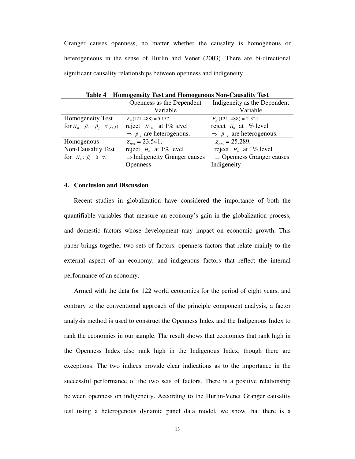Granger causes openness, no matter whether the causality is homogenous or heterogeneous in the sense of Hurlin and Venet (2003). There are bi-directional significant causality relationships between openness and indigeneity.

| Table 4 - Holliogeneity Test and Holliogenous Non-Causanty Test |                                           |                                           |  |  |  |  |  |
|-----------------------------------------------------------------|-------------------------------------------|-------------------------------------------|--|--|--|--|--|
|                                                                 | Openness as the Dependent                 | Indigeneity as the Dependent              |  |  |  |  |  |
|                                                                 | Variable                                  | Variable                                  |  |  |  |  |  |
| Homogeneity Test                                                | $F_u(121, 488) = 5.157,$                  | $F_{\mu}$ (121, 488) = 2.321,             |  |  |  |  |  |
| for $H_0: \beta_i = \beta_i \quad \forall (i, j)$               | reject $H_0$ at 1% level                  | reject $H_0$ at 1% level                  |  |  |  |  |  |
|                                                                 | $\Rightarrow$ $\beta$ , are heterogenous. | $\Rightarrow$ $\beta$ , are heterogenous. |  |  |  |  |  |
| Homogenous                                                      | $Z_{\mu\nu c} = 23.541$ ,                 | $Z_{\text{HNC}} = 25.289$ ,               |  |  |  |  |  |
| Non-Causality Test                                              | reject $H_0$ at 1% level                  | reject $H_0$ at 1% level                  |  |  |  |  |  |
| for $H_0: \beta_i = 0 \quad \forall i$                          | $\Rightarrow$ Indigeneity Granger causes  | $\Rightarrow$ Openness Granger causes     |  |  |  |  |  |
|                                                                 | <b>Openness</b>                           | Indigeneity                               |  |  |  |  |  |

**Table 4 Homogeneity Test and Homogenous Non-Causality Test** 

#### **4. Conclusion and Discussion**

Recent studies in globalization have considered the importance of both the quantifiable variables that measure an economy's gain in the globalization process, and domestic factors whose development may impact on economic growth. This paper brings together two sets of factors: openness factors that relate mainly to the external aspect of an economy, and indigenous factors that reflect the internal performance of an economy.

Armed with the data for 122 world economies for the period of eight years, and contrary to the conventional approach of the principle component analysis, a factor analysis method is used to construct the Openness Index and the Indigenous Index to rank the economies in our sample. The result shows that economies that rank high in the Openness Index also rank high in the Indigenous Index, though there are exceptions. The two indices provide clear indications as to the importance in the successful performance of the two sets of factors. There is a positive relationship between openness on indigeneity. According to the Hurlin-Venet Granger causality test using a heterogenous dynamic panel data model, we show that there is a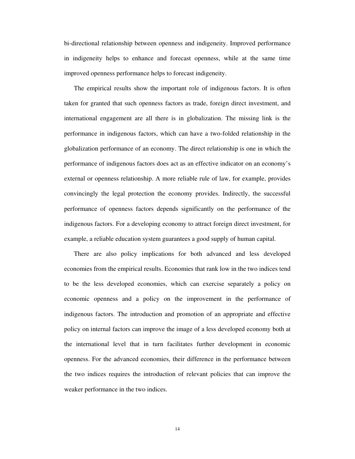bi-directional relationship between openness and indigeneity. Improved performance in indigeneity helps to enhance and forecast openness, while at the same time improved openness performance helps to forecast indigeneity.

The empirical results show the important role of indigenous factors. It is often taken for granted that such openness factors as trade, foreign direct investment, and international engagement are all there is in globalization. The missing link is the performance in indigenous factors, which can have a two-folded relationship in the globalization performance of an economy. The direct relationship is one in which the performance of indigenous factors does act as an effective indicator on an economy's external or openness relationship. A more reliable rule of law, for example, provides convincingly the legal protection the economy provides. Indirectly, the successful performance of openness factors depends significantly on the performance of the indigenous factors. For a developing economy to attract foreign direct investment, for example, a reliable education system guarantees a good supply of human capital.

There are also policy implications for both advanced and less developed economies from the empirical results. Economies that rank low in the two indices tend to be the less developed economies, which can exercise separately a policy on economic openness and a policy on the improvement in the performance of indigenous factors. The introduction and promotion of an appropriate and effective policy on internal factors can improve the image of a less developed economy both at the international level that in turn facilitates further development in economic openness. For the advanced economies, their difference in the performance between the two indices requires the introduction of relevant policies that can improve the weaker performance in the two indices.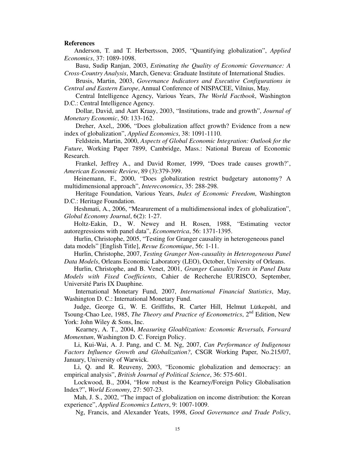#### **References**

Anderson, T. and T. Herbertsson, 2005, "Quantifying globalization", *Applied Economics*, 37: 1089-1098.

 Basu, Sudip Ranjan, 2003, *Estimating the Quality of Economic Governance: A Cross-Country Analysis*, March, Geneva: Graduate Institute of International Studies.

 Brusis, Martin, 2003, *Governance Indicators and Executive Configurations in Central and Eastern Europe*, Annual Conference of NISPACEE, Vilnius, May.

 Central Intelligence Agency, Various Years, *The World Factbook*, Washington D.C.: Central Intelligence Agency.

 Dollar, David, and Aart Kraay, 2003, "Institutions, trade and growth", *Journal of Monetary Economic*, 50: 133-162.

 Dreher, Axel,, 2006, "Does globalization affect growth? Evidence from a new index of globalization", *Applied Economics*, 38: 1091-1110.

 Feldstein, Martin, 2000, *Aspects of Global Economic Integration: Outlook for the Future*, Working Paper 7899, Cambridge, Mass.: National Bureau of Economic Research.

 Frankel, Jeffrey A., and David Romer, 1999, "Does trade causes growth?', *American Economic Review*, 89 (3):379-399.

Heinemann, F., 2000, "Does globalization restrict budgetary autonomy? A multidimensional approach", *Intereconomics*, 35: 288-298.

 Heritage Foundation, Various Years, *Index of Economic Freedom*, Washington D.C.: Heritage Foundation.

Heshmati, A., 2006, "Mearurement of a multidimensional index of globalization", *Global Economy Journal*, 6(2): 1-27.

Holtz-Eakin, D., W. Newey and H. Rosen, 1988, "Estimating vector autoregressions with panel data", *Econometrica*, 56: 1371-1395.

Hurlin, Christophe, 2005, "Testing for Granger causality in heterogeneous panel data models" [English Title], *Revue Economique*, 56: 1-11.

Hurlin, Christophe, 2007, *Testing Granger Non-causality in Heterogeneous Panel Data Models*, Orleans Economic Laboratory (LEO), October, University of Orleans.

Hurlin, Christophe, and B. Venet, 2001, *Granger Causality Tests in Panel Data Models with Fixed Coefficients*, Cahier de Recherche EURISCO, September, Université Paris IX Dauphine.

 International Monetary Fund, 2007, *International Financial Statistics*, May, Washington D. C.: International Monetary Fund.

Judge, George G., W. E. Griffiths, R. Carter Hill, Helmut Lütkepohl, and Tsoung-Chao Lee, 1985, *The Theory and Practice of Econometrics*, 2nd Edition, New York: John Wiley & Sons, Inc.

 Kearney, A. T., 2004, *Measuring Gloablization: Economic Reversals, Forward Momentum*, Washington D. C. Foreign Policy.

Li, Kui-Wai, A. J. Pang, and C. M. Ng, 2007, *Can Performance of Indigenous Factors Influence Growth and Globalization?*, CSGR Working Paper, No.215/07, January, University of Warwick.

Li, Q. and R. Reuveny, 2003, "Economic globalization and democracy: an empirical analysis", *British Journal of Political Science*, 36: 575-601.

Lockwood, B., 2004, "How robust is the Kearney/Foreign Policy Globalisation Index?", *World Economy*, 27: 507-23.

Mah, J. S., 2002, "The impact of globalization on income distribution: the Korean experience", *Applied Economics Letters*, 9: 1007-1009.

Ng, Francis, and Alexander Yeats, 1998, *Good Governance and Trade Policy*,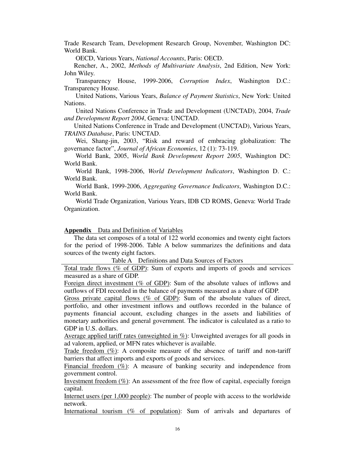Trade Research Team, Development Research Group, November, Washington DC: World Bank.

OECD, Various Years, *National Accounts*, Paris: OECD.

Rencher, A., 2002, *Methods of Multivariate Analysis*, 2nd Edition, New York: John Wiley.

 Transparency House, 1999-2006, *Corruption Index*, Washington D.C.: Transparency House.

 United Nations, Various Years, *Balance of Payment Statistics*, New York: United Nations.

 United Nations Conference in Trade and Development (UNCTAD), 2004, *Trade and Development Report 2004*, Geneva: UNCTAD.

 United Nations Conference in Trade and Development (UNCTAD), Various Years, *TRAINS Database*, Paris: UNCTAD.

 Wei, Shang-jin, 2003, "Risk and reward of embracing globalization: The governance factor", *Journal of African Economies*, 12 (1): 73-119.

 World Bank, 2005, *World Bank Development Report 2005*, Washington DC: World Bank.

 World Bank, 1998-2006, *World Development Indicators*, Washington D. C.: World Bank.

 World Bank, 1999-2006, *Aggregating Governance Indicators*, Washington D.C.: World Bank.

 World Trade Organization, Various Years, IDB CD ROMS, Geneva: World Trade Organization.

### **Appendix** Data and Definition of Variables

The data set composes of a total of 122 world economies and twenty eight factors for the period of 1998-2006. Table A below summarizes the definitions and data sources of the twenty eight factors.

Table A Definitions and Data Sources of Factors

Total trade flows (% of GDP): Sum of exports and imports of goods and services measured as a share of GDP.

Foreign direct investment (% of GDP): Sum of the absolute values of inflows and outflows of FDI recorded in the balance of payments measured as a share of GDP.

Gross private capital flows ( $\%$  of GDP): Sum of the absolute values of direct, portfolio, and other investment inflows and outflows recorded in the balance of payments financial account, excluding changes in the assets and liabilities of monetary authorities and general government. The indicator is calculated as a ratio to GDP in U.S. dollars.

Average applied tariff rates (unweighted in %): Unweighted averages for all goods in ad valorem, applied, or MFN rates whichever is available.

Trade freedom  $(\%)$ : A composite measure of the absence of tariff and non-tariff barriers that affect imports and exports of goods and services.

Financial freedom  $(\%)$ : A measure of banking security and independence from government control.

Investment freedom  $(\%)$ : An assessment of the free flow of capital, especially foreign capital.

Internet users (per 1,000 people): The number of people with access to the worldwide network.

International tourism (% of population): Sum of arrivals and departures of